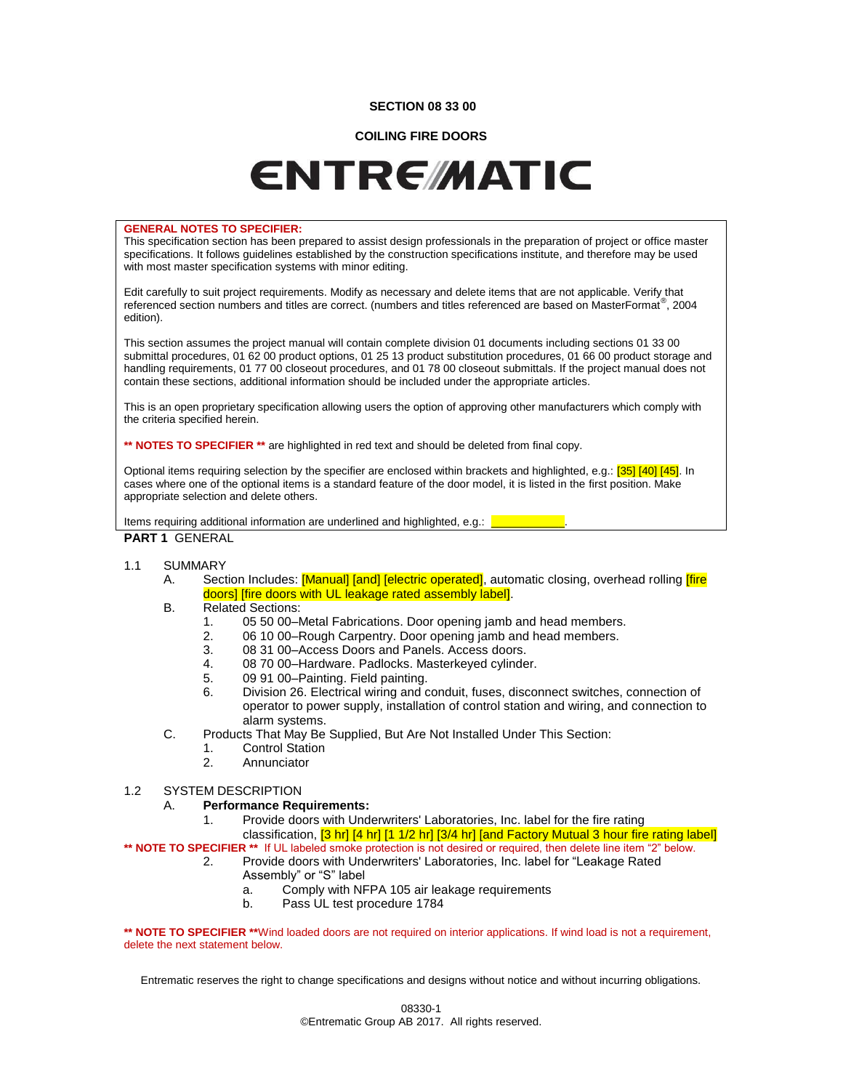## **SECTION 08 33 00**

## **COILING FIRE DOORS**

# **ENTREMATIC**

#### **GENERAL NOTES TO SPECIFIER:**

This specification section has been prepared to assist design professionals in the preparation of project or office master specifications. It follows guidelines established by the construction specifications institute, and therefore may be used with most master specification systems with minor editing.

Edit carefully to suit project requirements. Modify as necessary and delete items that are not applicable. Verify that referenced section numbers and titles are correct. (numbers and titles referenced are based on MasterFormat<sup>®</sup>, 2004 edition).

This section assumes the project manual will contain complete division 01 documents including sections 01 33 00 submittal procedures, 01 62 00 product options, 01 25 13 product substitution procedures, 01 66 00 product storage and handling requirements, 01 77 00 closeout procedures, and 01 78 00 closeout submittals. If the project manual does not contain these sections, additional information should be included under the appropriate articles.

This is an open proprietary specification allowing users the option of approving other manufacturers which comply with the criteria specified herein.

**\*\* NOTES TO SPECIFIER \*\*** are highlighted in red text and should be deleted from final copy.

Optional items requiring selection by the specifier are enclosed within brackets and highlighted, e.g.: [35] [40] [45]. In cases where one of the optional items is a standard feature of the door model, it is listed in the first position. Make appropriate selection and delete others.

Items requiring additional information are underlined and highlighted, e.g.:

## **PART 1** GENERAL

## 1.1 SUMMARY

- A. Section Includes: [Manual] [and] [electric operated], automatic closing, overhead rolling [fire doors] [fire doors with UL leakage rated assembly label].
- B. Related Sections:
	- 1. 05 50 00–Metal Fabrications. Door opening jamb and head members.<br>2. 06 10 00–Rough Carpentry. Door opening jamb and head members.
	- 06 10 00–Rough Carpentry. Door opening jamb and head members.
	- 3. 08 31 00–Access Doors and Panels. Access doors.
	- 4. 08 70 00–Hardware. Padlocks. Masterkeyed cylinder.
	- 5. 09 91 00–Painting. Field painting.
	- 6. Division 26. Electrical wiring and conduit, fuses, disconnect switches, connection of operator to power supply, installation of control station and wiring, and connection to alarm systems.
- C. Products That May Be Supplied, But Are Not Installed Under This Section:
	- 1. Control Station
	- 2. Annunciator

#### 1.2 SYSTEM DESCRIPTION

#### A. **Performance Requirements:**

1. Provide doors with Underwriters' Laboratories, Inc. label for the fire rating classification, <a>[3 hr] <a>[4 hr]</a> [1 1/2 hr] <a>[3/4 hr]</a> [and Factory Mutual 3 hour fire rating label]</a>

**\*\* NOTE TO SPECIFIER \*\*** If UL labeled smoke protection is not desired or required, then delete line item "2" below.

- 2. Provide doors with Underwriters' Laboratories, Inc. label for "Leakage Rated Assembly" or "S" label
	- a. Comply with NFPA 105 air leakage requirements
	- b. Pass UL test procedure 1784

**\*\* NOTE TO SPECIFIER \*\***Wind loaded doors are not required on interior applications. If wind load is not a requirement, delete the next statement below.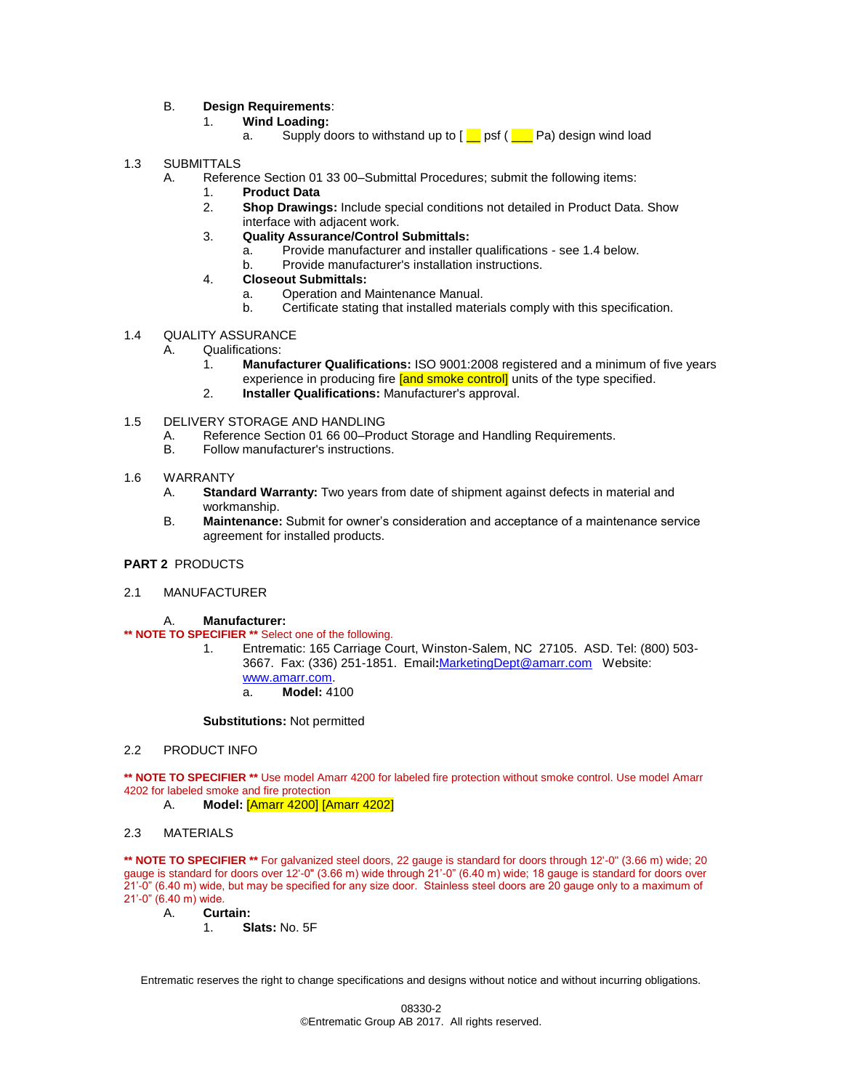B. **Design Requirements**:

- 1. **Wind Loading:**
	- a. Supply doors to withstand up to  $[\_\]$  psf ( $[\_\]$  Pa) design wind load
- 1.3 SUBMITTALS
	- A. Reference Section 01 33 00–Submittal Procedures; submit the following items:
		- 1. **Product Data**
			- 2. **Shop Drawings:** Include special conditions not detailed in Product Data. Show interface with adjacent work.
			- 3. **Quality Assurance/Control Submittals:**
				- a. Provide manufacturer and installer qualifications see 1.4 below.
				- b. Provide manufacturer's installation instructions.
			- 4. **Closeout Submittals:**
				- a. Operation and Maintenance Manual.
				- b. Certificate stating that installed materials comply with this specification.
- 1.4 QUALITY ASSURANCE
	- A. Qualifications:
		- 1. **Manufacturer Qualifications:** ISO 9001:2008 registered and a minimum of five years experience in producing fire [and smoke control] units of the type specified.
		- 2. **Installer Qualifications:** Manufacturer's approval.
- 1.5 DELIVERY STORAGE AND HANDLING
	- A. Reference Section 01 66 00–Product Storage and Handling Requirements.<br>B. Follow manufacturer's instructions.
	- Follow manufacturer's instructions.
- 1.6 WARRANTY
	- A. **Standard Warranty:** Two years from date of shipment against defects in material and workmanship.
	- B. **Maintenance:** Submit for owner's consideration and acceptance of a maintenance service agreement for installed products.

## **PART 2** PRODUCTS

2.1 MANUFACTURER

## A. **Manufacturer:**

**\*\* NOTE TO SPECIFIER \*\*** Select one of the following.

1. Entrematic: 165 Carriage Court, Winston-Salem, NC 27105. ASD. Tel: (800) 503- 3667.Fax: (336) 251-1851. Email**:**[MarketingDept@amarr.com](mailto:MarketingDept@amarr.com) Website: [www.amarr.com.](http://www.amarr.com/) a. **Model:** 4100

#### **Substitutions:** Not permitted

## 2.2 PRODUCT INFO

**\*\* NOTE TO SPECIFIER \*\*** Use model Amarr 4200 for labeled fire protection without smoke control. Use model Amarr 4202 for labeled smoke and fire protection

A. **Model:** [Amarr 4200] [Amarr 4202]

## 2.3 MATERIALS

**\*\* NOTE TO SPECIFIER \*\*** For galvanized steel doors, 22 gauge is standard for doors through 12'-0" (3.66 m) wide; 20 gauge is standard for doors over 12'-0" (3.66 m) wide through 21'-0" (6.40 m) wide; 18 gauge is standard for doors over 21'-0" (6.40 m) wide, but may be specified for any size door. Stainless steel doors are 20 gauge only to a maximum of 21'-0" (6.40 m) wide.

- A. **Curtain:**
	- 1. **Slats:** No. 5F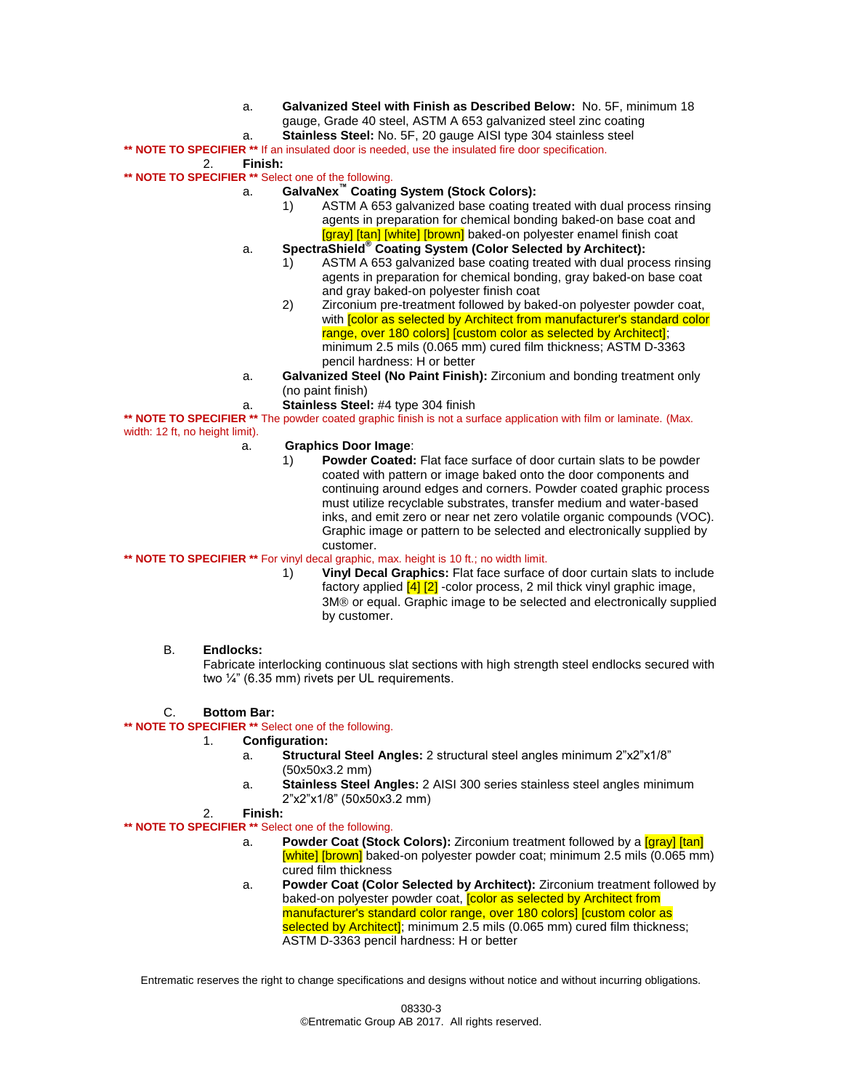- a. **Galvanized Steel with Finish as Described Below:** No. 5F, minimum 18 gauge, Grade 40 steel, ASTM A 653 galvanized steel zinc coating
- a. **Stainless Steel:** No. 5F, 20 gauge AISI type 304 stainless steel

```
** NOTE TO SPECIFIER ** If an insulated door is needed, use the insulated fire door specification.
```

```
2. Finish:
```
- **\*\* NOTE TO SPECIFIER \*\*** Select one of the following.
	- a. **GalvaNex™ Coating System (Stock Colors):**
		- 1) ASTM A 653 galvanized base coating treated with dual process rinsing agents in preparation for chemical bonding baked-on base coat and [gray] [tan] [white] [brown] baked-on polyester enamel finish coat
		- a. **SpectraShield® Coating System (Color Selected by Architect):**
			- 1) ASTM A 653 galvanized base coating treated with dual process rinsing agents in preparation for chemical bonding, gray baked-on base coat and gray baked-on polyester finish coat
			- 2) Zirconium pre-treatment followed by baked-on polyester powder coat, with **[color as selected by Architect from manufacturer's standard color** range, over 180 colors] [custom color as selected by Architect]; minimum 2.5 mils (0.065 mm) cured film thickness; ASTM D-3363 pencil hardness: H or better
		- a. **Galvanized Steel (No Paint Finish):** Zirconium and bonding treatment only (no paint finish)
		- a. **Stainless Steel:** #4 type 304 finish

**\*\* NOTE TO SPECIFIER \*\*** The powder coated graphic finish is not a surface application with film or laminate. (Max. width: 12 ft, no height limit).

- a. **Graphics Door Image**:
	- 1) **Powder Coated:** Flat face surface of door curtain slats to be powder coated with pattern or image baked onto the door components and continuing around edges and corners. Powder coated graphic process must utilize recyclable substrates, transfer medium and water-based inks, and emit zero or near net zero volatile organic compounds (VOC). Graphic image or pattern to be selected and electronically supplied by customer.

## **\*\* NOTE TO SPECIFIER \*\*** For vinyl decal graphic, max. height is 10 ft.; no width limit.

1) **Vinyl Decal Graphics:** Flat face surface of door curtain slats to include factory applied  $\frac{4}{2}$  -color process, 2 mil thick vinyl graphic image, 3M<sup>®</sup> or equal. Graphic image to be selected and electronically supplied by customer.

## B. **Endlocks:**

Fabricate interlocking continuous slat sections with high strength steel endlocks secured with two ¼" (6.35 mm) rivets per UL requirements.

# C. **Bottom Bar:**

## **\*\* NOTE TO SPECIFIER \*\*** Select one of the following.

# 1. **Configuration:**

- a. **Structural Steel Angles:** 2 structural steel angles minimum 2"x2"x1/8" (50x50x3.2 mm)
- a. **Stainless Steel Angles:** 2 AISI 300 series stainless steel angles minimum 2"x2"x1/8" (50x50x3.2 mm)

## 2. **Finish:**

# **\*\* NOTE TO SPECIFIER \*\*** Select one of the following.

- a. **Powder Coat (Stock Colors):** Zirconium treatment followed by a [gray] [tan] [white] [brown] baked-on polyester powder coat; minimum 2.5 mils (0.065 mm) cured film thickness
- a. **Powder Coat (Color Selected by Architect):** Zirconium treatment followed by baked-on polyester powder coat, [color as selected by Architect from manufacturer's standard color range, over 180 colors] [custom color as selected by Architect]; minimum 2.5 mils (0.065 mm) cured film thickness; ASTM D-3363 pencil hardness: H or better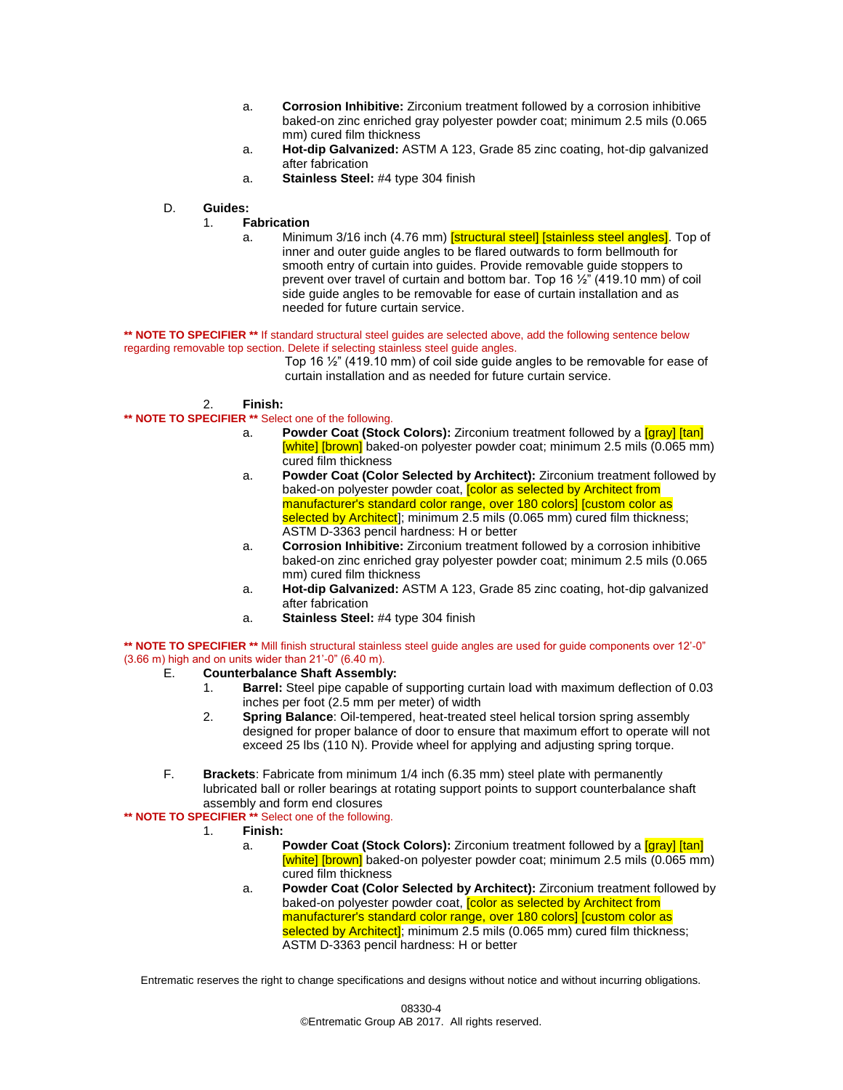- a. **Corrosion Inhibitive:** Zirconium treatment followed by a corrosion inhibitive baked-on zinc enriched gray polyester powder coat; minimum 2.5 mils (0.065 mm) cured film thickness
- a. **Hot-dip Galvanized:** ASTM A 123, Grade 85 zinc coating, hot-dip galvanized after fabrication
- a. **Stainless Steel:** #4 type 304 finish
- D. **Guides:**

# 1. **Fabrication**

a. Minimum 3/16 inch (4.76 mm) **[structural steel] [stainless steel angles]**. Top of inner and outer guide angles to be flared outwards to form bellmouth for smooth entry of curtain into guides. Provide removable guide stoppers to prevent over travel of curtain and bottom bar. Top 16 ½" (419.10 mm) of coil side guide angles to be removable for ease of curtain installation and as needed for future curtain service.

\*\* **NOTE TO SPECIFIER** \*\* If standard structural steel guides are selected above, add the following sentence below regarding removable top section. Delete if selecting stainless steel guide angles.

Top 16 ½" (419.10 mm) of coil side guide angles to be removable for ease of curtain installation and as needed for future curtain service.

## 2. **Finish:**

- **\*\* NOTE TO SPECIFIER \*\*** Select one of the following.
	- a. **Powder Coat (Stock Colors):** Zirconium treatment followed by a [gray] [tan] [white] [brown] baked-on polyester powder coat; minimum 2.5 mils (0.065 mm) cured film thickness
	- a. **Powder Coat (Color Selected by Architect):** Zirconium treatment followed by baked-on polyester powder coat, **[color as selected by Architect from** manufacturer's standard color range, over 180 colors] [custom color as selected by Architect]; minimum 2.5 mils (0.065 mm) cured film thickness; ASTM D-3363 pencil hardness: H or better
	- a. **Corrosion Inhibitive:** Zirconium treatment followed by a corrosion inhibitive baked-on zinc enriched gray polyester powder coat; minimum 2.5 mils (0.065 mm) cured film thickness
	- a. **Hot-dip Galvanized:** ASTM A 123, Grade 85 zinc coating, hot-dip galvanized after fabrication
	- a. **Stainless Steel:** #4 type 304 finish

**\*\* NOTE TO SPECIFIER \*\*** Mill finish structural stainless steel guide angles are used for guide components over 12'-0"  $(3.66 \text{ m})$  high and on units wider than  $21'-0''$   $(6.40 \text{ m})$ .<br>E. **Counterbalance Shaft Assembl** 

# E. **Counterbalance Shaft Assembly:**

- 1. **Barrel:** Steel pipe capable of supporting curtain load with maximum deflection of 0.03 inches per foot (2.5 mm per meter) of width
- 2. **Spring Balance**: Oil-tempered, heat-treated steel helical torsion spring assembly designed for proper balance of door to ensure that maximum effort to operate will not exceed 25 lbs (110 N). Provide wheel for applying and adjusting spring torque.
- F. **Brackets**: Fabricate from minimum 1/4 inch (6.35 mm) steel plate with permanently lubricated ball or roller bearings at rotating support points to support counterbalance shaft assembly and form end closures

## **\*\* NOTE TO SPECIFIER \*\*** Select one of the following.

- 1. **Finish:**
	- a. **Powder Coat (Stock Colors):** Zirconium treatment followed by a [gray] [tan] [white] [brown] baked-on polyester powder coat; minimum 2.5 mils (0.065 mm) cured film thickness
	- a. **Powder Coat (Color Selected by Architect):** Zirconium treatment followed by baked-on polyester powder coat, color as selected by Architect from manufacturer's standard color range, over 180 colors] [custom color as selected by Architect]; minimum 2.5 mils (0.065 mm) cured film thickness; ASTM D-3363 pencil hardness: H or better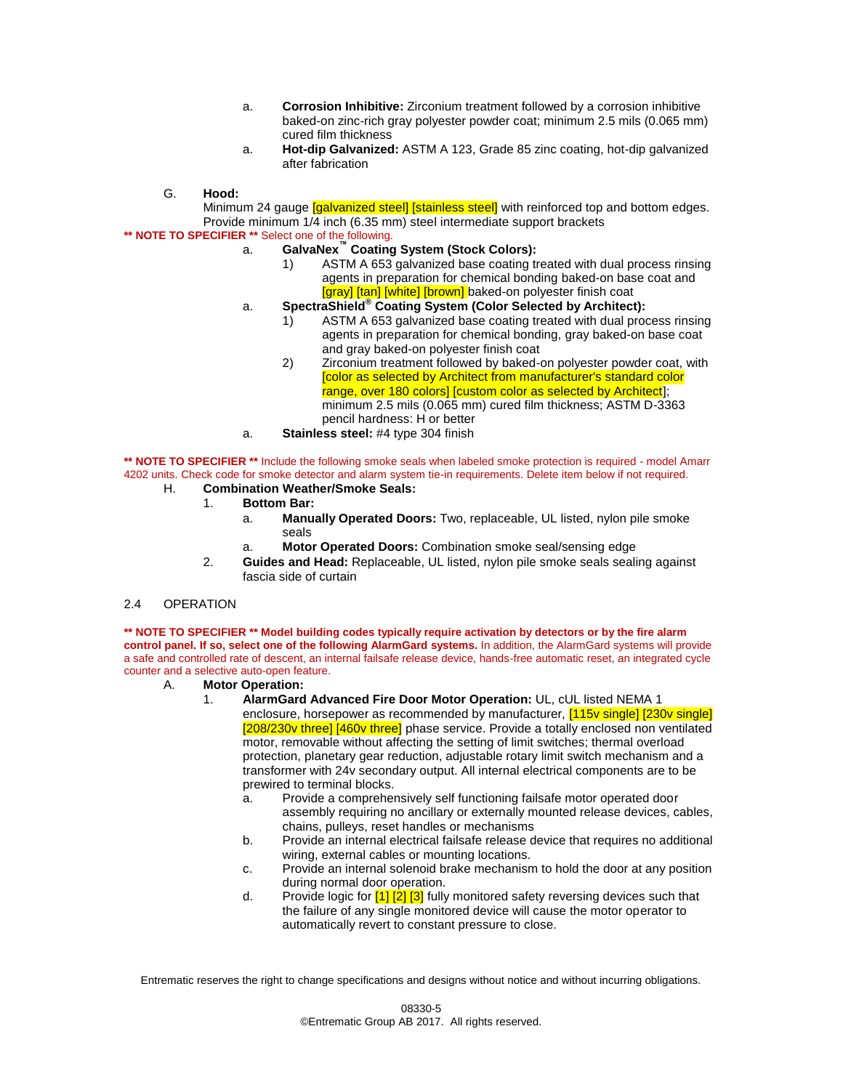- a. **Corrosion Inhibitive:** Zirconium treatment followed by a corrosion inhibitive baked-on zinc-rich gray polyester powder coat; minimum 2.5 mils (0.065 mm) cured film thickness
- a. **Hot-dip Galvanized:** ASTM A 123, Grade 85 zinc coating, hot-dip galvanized after fabrication
- G. **Hood:**

Minimum 24 gauge *[galvanized steel] [stainless steel]* with reinforced top and bottom edges. Provide minimum 1/4 inch (6.35 mm) steel intermediate support brackets

- **\*\* NOTE TO SPECIFIER \*\*** Select one of the following.
	- a. **GalvaNex™ Coating System (Stock Colors):**
		- 1) ASTM A 653 galvanized base coating treated with dual process rinsing agents in preparation for chemical bonding baked-on base coat and [gray] [tan] [white] [brown] baked-on polyester finish coat
	- a. **SpectraShield® Coating System (Color Selected by Architect):**
		- 1) ASTM A 653 galvanized base coating treated with dual process rinsing agents in preparation for chemical bonding, gray baked-on base coat and gray baked-on polyester finish coat
		- 2) Zirconium treatment followed by baked-on polyester powder coat, with [color as selected by Architect from manufacturer's standard color range, over 180 colors] [custom color as selected by Architect]; minimum 2.5 mils (0.065 mm) cured film thickness; ASTM D-3363 pencil hardness: H or better
	- a. **Stainless steel:** #4 type 304 finish

**\*\* NOTE TO SPECIFIER \*\*** Include the following smoke seals when labeled smoke protection is required - model Amarr 4202 units. Check code for smoke detector and alarm system tie-in requirements. Delete item below if not required.

- H. **Combination Weather/Smoke Seals:**
	- 1. **Bottom Bar:**
		- a. **Manually Operated Doors:** Two, replaceable, UL listed, nylon pile smoke seals
		- a. **Motor Operated Doors:** Combination smoke seal/sensing edge
	- 2. **Guides and Head:** Replaceable, UL listed, nylon pile smoke seals sealing against fascia side of curtain

## 2.4 OPERATION

**\*\* NOTE TO SPECIFIER \*\* Model building codes typically require activation by detectors or by the fire alarm control panel. If so, select one of the following AlarmGard systems.** In addition, the AlarmGard systems will provide a safe and controlled rate of descent, an internal failsafe release device, hands-free automatic reset, an integrated cycle counter and a selective auto-open feature.

- A. **Motor Operation:**
	- 1. **AlarmGard Advanced Fire Door Motor Operation:** UL, cUL listed NEMA 1 enclosure, horsepower as recommended by manufacturer, <a>[115v single]</a>[230v single]</a> [208/230v three] [460v three] phase service. Provide a totally enclosed non ventilated motor, removable without affecting the setting of limit switches; thermal overload protection, planetary gear reduction, adjustable rotary limit switch mechanism and a transformer with 24v secondary output. All internal electrical components are to be prewired to terminal blocks.
		- a. Provide a comprehensively self functioning failsafe motor operated door assembly requiring no ancillary or externally mounted release devices, cables, chains, pulleys, reset handles or mechanisms
		- b. Provide an internal electrical failsafe release device that requires no additional wiring, external cables or mounting locations.
		- c. Provide an internal solenoid brake mechanism to hold the door at any position during normal door operation.
		- d. Provide logic for  $\left[1\right]\left[2\right]$   $\left[3\right]$  fully monitored safety reversing devices such that the failure of any single monitored device will cause the motor operator to automatically revert to constant pressure to close.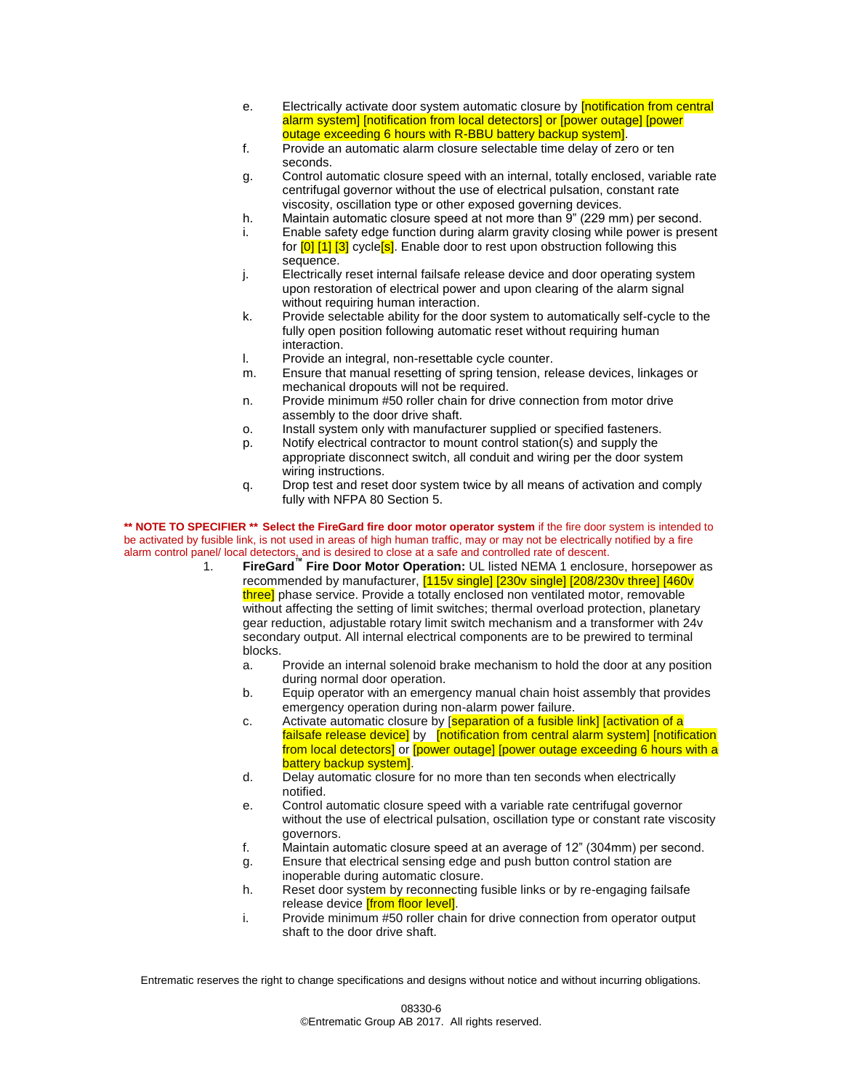- e. Electrically activate door system automatic closure by **[notification from central** alarm system] [notification from local detectors] or [power outage] [power outage exceeding 6 hours with R-BBU battery backup system].
- f. Provide an automatic alarm closure selectable time delay of zero or ten seconds.
- g. Control automatic closure speed with an internal, totally enclosed, variable rate centrifugal governor without the use of electrical pulsation, constant rate viscosity, oscillation type or other exposed governing devices.
- h. Maintain automatic closure speed at not more than 9" (229 mm) per second.
- i. Enable safety edge function during alarm gravity closing while power is present for [0] [1] [3] cycle<sup>[5]</sup>. Enable door to rest upon obstruction following this sequence.
- j. Electrically reset internal failsafe release device and door operating system upon restoration of electrical power and upon clearing of the alarm signal without requiring human interaction.
- k. Provide selectable ability for the door system to automatically self-cycle to the fully open position following automatic reset without requiring human interaction.
- l. Provide an integral, non-resettable cycle counter.
- m. Ensure that manual resetting of spring tension, release devices, linkages or mechanical dropouts will not be required.
- n. Provide minimum #50 roller chain for drive connection from motor drive assembly to the door drive shaft.
- o. Install system only with manufacturer supplied or specified fasteners.
- p. Notify electrical contractor to mount control station(s) and supply the appropriate disconnect switch, all conduit and wiring per the door system wiring instructions.
- q. Drop test and reset door system twice by all means of activation and comply fully with NFPA 80 Section 5.

**\*\* NOTE TO SPECIFIER \*\* Select the FireGard fire door motor operator system** if the fire door system is intended to be activated by fusible link, is not used in areas of high human traffic, may or may not be electrically notified by a fire

- alarm control panel/ local detectors, and is desired to close at a safe and controlled rate of descent. 1. **FireGard™ Fire Door Motor Operation:** UL listed NEMA 1 enclosure, horsepower as recommended by manufacturer, [115v single] [230v single] [208/230v three] [460v three] phase service. Provide a totally enclosed non ventilated motor, removable without affecting the setting of limit switches; thermal overload protection, planetary gear reduction, adjustable rotary limit switch mechanism and a transformer with 24v secondary output. All internal electrical components are to be prewired to terminal blocks.
	- a. Provide an internal solenoid brake mechanism to hold the door at any position during normal door operation.
	- b. Equip operator with an emergency manual chain hoist assembly that provides emergency operation during non-alarm power failure.
	- c. Activate automatic closure by [separation of a fusible link] [activation of a failsafe release device] by [notification from central alarm system] [notification from local detectors] or [power outage] [power outage exceeding 6 hours with a battery backup system].
	- d. Delay automatic closure for no more than ten seconds when electrically notified.
	- e. Control automatic closure speed with a variable rate centrifugal governor without the use of electrical pulsation, oscillation type or constant rate viscosity governors.
	- f. Maintain automatic closure speed at an average of 12" (304mm) per second.
	- g. Ensure that electrical sensing edge and push button control station are inoperable during automatic closure.
	- h. Reset door system by reconnecting fusible links or by re-engaging failsafe release device **[from floor level]**.
	- i. Provide minimum #50 roller chain for drive connection from operator output shaft to the door drive shaft.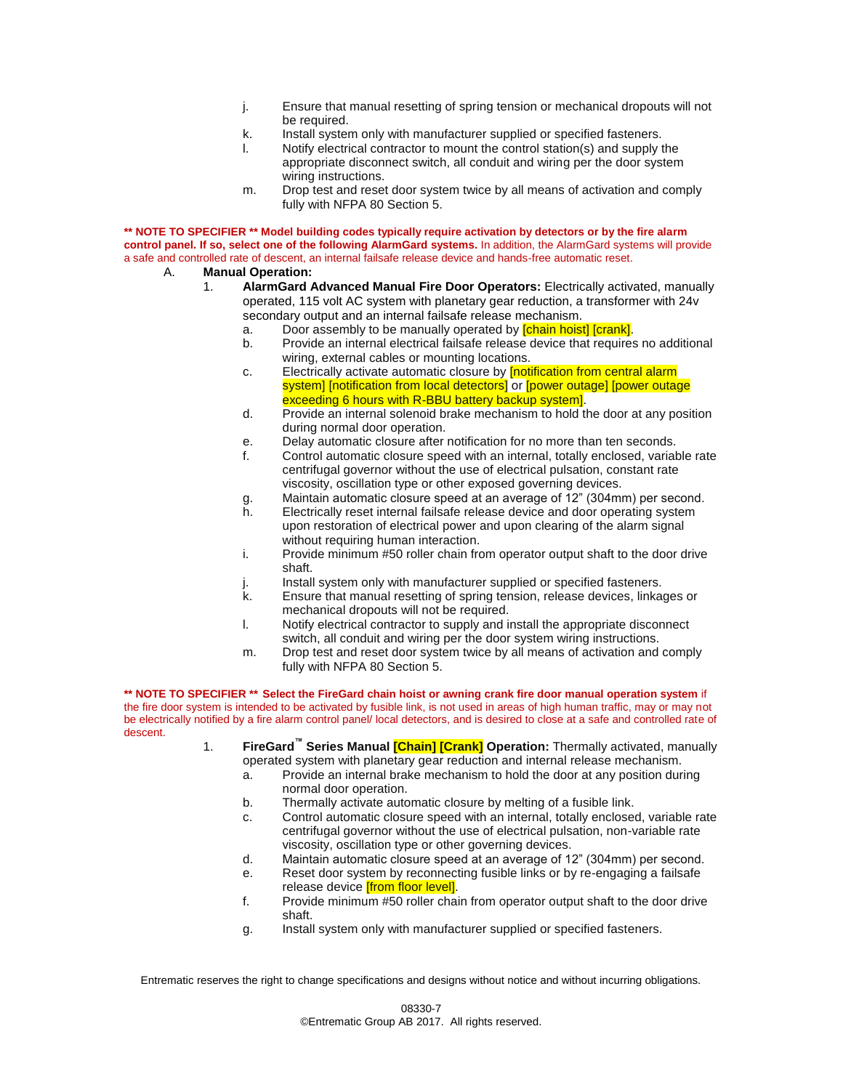- j. Ensure that manual resetting of spring tension or mechanical dropouts will not be required.
- k. Install system only with manufacturer supplied or specified fasteners.
- l. Notify electrical contractor to mount the control station(s) and supply the appropriate disconnect switch, all conduit and wiring per the door system wiring instructions.
- m. Drop test and reset door system twice by all means of activation and comply fully with NFPA 80 Section 5.

**\*\* NOTE TO SPECIFIER \*\* Model building codes typically require activation by detectors or by the fire alarm control panel. If so, select one of the following AlarmGard systems.** In addition, the AlarmGard systems will provide a safe and controlled rate of descent, an internal failsafe release device and hands-free automatic reset.

- A. **Manual Operation:**
	- 1. **AlarmGard Advanced Manual Fire Door Operators:** Electrically activated, manually operated, 115 volt AC system with planetary gear reduction, a transformer with 24v secondary output and an internal failsafe release mechanism.
		- a. Door assembly to be manually operated by **[chain hoist]** [crank].
		- b. Provide an internal electrical failsafe release device that requires no additional wiring, external cables or mounting locations.
		- c. Electrically activate automatic closure by **[notification from central alarm** system] [notification from local detectors] or [power outage] [power outage exceeding 6 hours with R-BBU battery backup system].
		- d. Provide an internal solenoid brake mechanism to hold the door at any position during normal door operation.
		- e. Delay automatic closure after notification for no more than ten seconds.
		- f. Control automatic closure speed with an internal, totally enclosed, variable rate centrifugal governor without the use of electrical pulsation, constant rate viscosity, oscillation type or other exposed governing devices.
		- g. Maintain automatic closure speed at an average of 12" (304mm) per second.
		- h. Electrically reset internal failsafe release device and door operating system upon restoration of electrical power and upon clearing of the alarm signal without requiring human interaction.
		- i. Provide minimum #50 roller chain from operator output shaft to the door drive shaft.
		- j. Install system only with manufacturer supplied or specified fasteners.
		- k. Ensure that manual resetting of spring tension, release devices, linkages or mechanical dropouts will not be required.
		- l. Notify electrical contractor to supply and install the appropriate disconnect switch, all conduit and wiring per the door system wiring instructions.
		- m. Drop test and reset door system twice by all means of activation and comply fully with NFPA 80 Section 5.

**\*\* NOTE TO SPECIFIER \*\* Select the FireGard chain hoist or awning crank fire door manual operation system** if the fire door system is intended to be activated by fusible link, is not used in areas of high human traffic, may or may not be electrically notified by a fire alarm control panel/ local detectors, and is desired to close at a safe and controlled rate of descent.

> 1. **FireGard™ Series Manual [Chain] [Crank] Operation:** Thermally activated, manually operated system with planetary gear reduction and internal release mechanism.

- a. Provide an internal brake mechanism to hold the door at any position during normal door operation.
- b. Thermally activate automatic closure by melting of a fusible link.
- c. Control automatic closure speed with an internal, totally enclosed, variable rate centrifugal governor without the use of electrical pulsation, non-variable rate viscosity, oscillation type or other governing devices.
- d. Maintain automatic closure speed at an average of 12" (304mm) per second.
- e. Reset door system by reconnecting fusible links or by re-engaging a failsafe
- release device *[from floor level]*.
- f. Provide minimum #50 roller chain from operator output shaft to the door drive shaft.
- g. Install system only with manufacturer supplied or specified fasteners.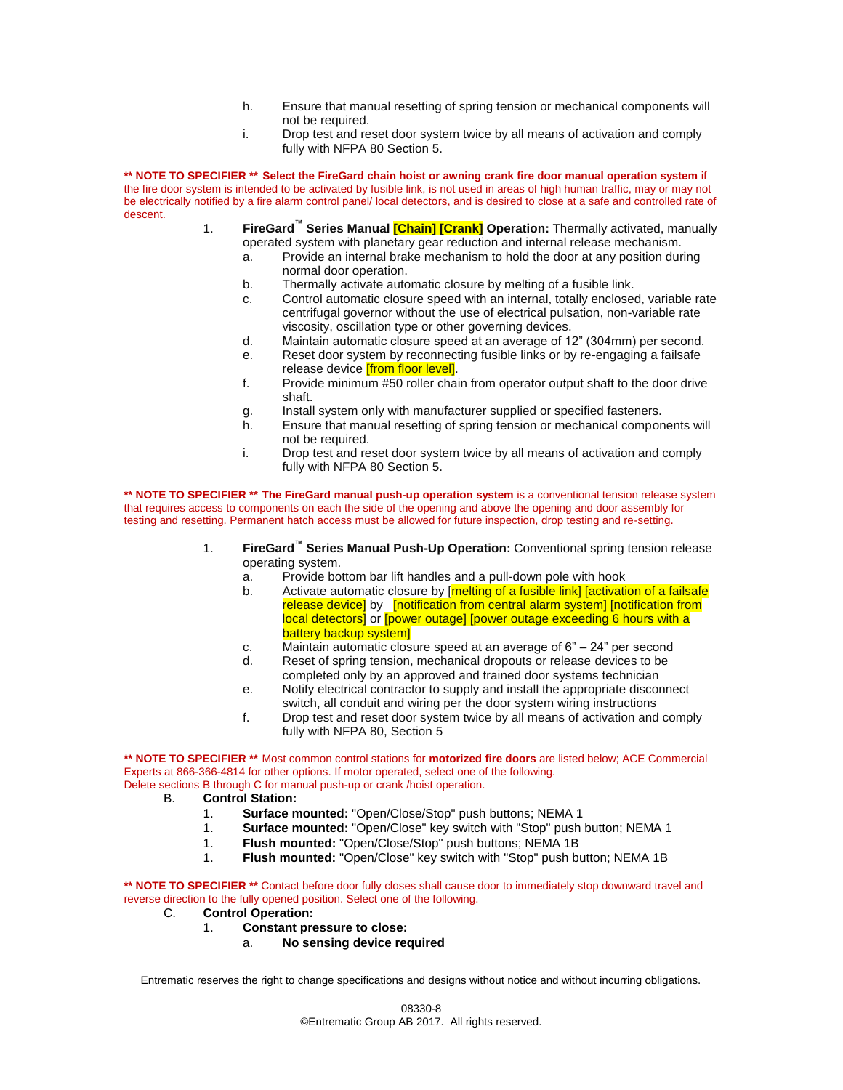- h. Ensure that manual resetting of spring tension or mechanical components will not be required.
- i. Drop test and reset door system twice by all means of activation and comply fully with NFPA 80 Section 5.

**\*\* NOTE TO SPECIFIER \*\* Select the FireGard chain hoist or awning crank fire door manual operation system** if the fire door system is intended to be activated by fusible link, is not used in areas of high human traffic, may or may not be electrically notified by a fire alarm control panel/ local detectors, and is desired to close at a safe and controlled rate of descent.

- 1. **FireGard™ Series Manual [Chain] [Crank] Operation:** Thermally activated, manually operated system with planetary gear reduction and internal release mechanism.
	- a. Provide an internal brake mechanism to hold the door at any position during normal door operation.
	- b. Thermally activate automatic closure by melting of a fusible link.
	- c. Control automatic closure speed with an internal, totally enclosed, variable rate centrifugal governor without the use of electrical pulsation, non-variable rate viscosity, oscillation type or other governing devices.
	- d. Maintain automatic closure speed at an average of 12" (304mm) per second.
	- e. Reset door system by reconnecting fusible links or by re-engaging a failsafe release device **[from floor level]**.
	- f. Provide minimum #50 roller chain from operator output shaft to the door drive shaft.
	- g. Install system only with manufacturer supplied or specified fasteners.
	- h. Ensure that manual resetting of spring tension or mechanical components will not be required.
	- i. Drop test and reset door system twice by all means of activation and comply fully with NFPA 80 Section 5.

**\*\* NOTE TO SPECIFIER \*\* The FireGard manual push-up operation system** is a conventional tension release system that requires access to components on each the side of the opening and above the opening and door assembly for testing and resetting. Permanent hatch access must be allowed for future inspection, drop testing and re-setting.

- 1. **FireGard™ Series Manual Push-Up Operation:** Conventional spring tension release operating system.
	- a. Provide bottom bar lift handles and a pull-down pole with hook
	- b. Activate automatic closure by [melting of a fusible link] [activation of a failsafe release device] by [notification from central alarm system] [notification from local detectors] or [power outage] [power outage exceeding 6 hours with a battery backup system]
	- c. Maintain automatic closure speed at an average of  $6<sup>n</sup> 24<sup>n</sup>$  per second
	- d. Reset of spring tension, mechanical dropouts or release devices to be completed only by an approved and trained door systems technician
	- e. Notify electrical contractor to supply and install the appropriate disconnect switch, all conduit and wiring per the door system wiring instructions
	- f. Drop test and reset door system twice by all means of activation and comply fully with NFPA 80, Section 5

**\*\* NOTE TO SPECIFIER \*\*** Most common control stations for **motorized fire doors** are listed below; ACE Commercial Experts at 866-366-4814 for other options. If motor operated, select one of the following. Delete sections B through C for manual push-up or crank /hoist operation.

- B. **Control Station:** 
	- 1. **Surface mounted:** "Open/Close/Stop" push buttons; NEMA 1
	- 1. **Surface mounted:** "Open/Close" key switch with "Stop" push button; NEMA 1
	- 1. **Flush mounted:** "Open/Close/Stop" push buttons; NEMA 1B
	- 1. **Flush mounted:** "Open/Close" key switch with "Stop" push button; NEMA 1B

**\*\* NOTE TO SPECIFIER \*\*** Contact before door fully closes shall cause door to immediately stop downward travel and reverse direction to the fully opened position. Select one of the following.

- C. **Control Operation:**
	- 1. **Constant pressure to close:**
		- a. **No sensing device required**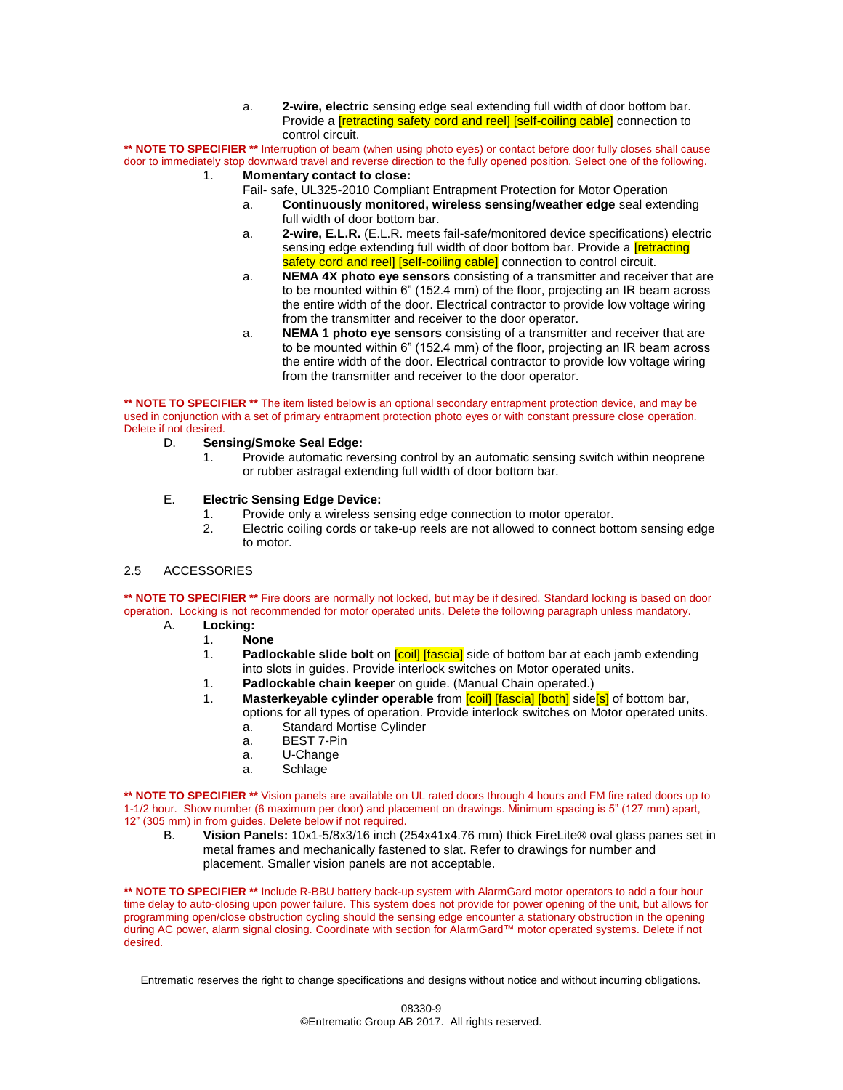a. **2-wire, electric** sensing edge seal extending full width of door bottom bar. Provide a **[retracting safety cord and reel] [self-coiling cable]** connection to control circuit.

**\*\* NOTE TO SPECIFIER \*\*** Interruption of beam (when using photo eyes) or contact before door fully closes shall cause door to immediately stop downward travel and reverse direction to the fully opened position. Select one of the following. 1. **Momentary contact to close:**

- Fail- safe, UL325-2010 Compliant Entrapment Protection for Motor Operation
	- a. **Continuously monitored, wireless sensing/weather edge** seal extending full width of door bottom bar.
	- a. **2-wire, E.L.R.** (E.L.R. meets fail-safe/monitored device specifications) electric sensing edge extending full width of door bottom bar. Provide a **Tretracting** safety cord and reel] [self-coiling cable] connection to control circuit.
	- a. **NEMA 4X photo eye sensors** consisting of a transmitter and receiver that are to be mounted within 6" (152.4 mm) of the floor, projecting an IR beam across the entire width of the door. Electrical contractor to provide low voltage wiring from the transmitter and receiver to the door operator.
	- a. **NEMA 1 photo eye sensors** consisting of a transmitter and receiver that are to be mounted within 6" (152.4 mm) of the floor, projecting an IR beam across the entire width of the door. Electrical contractor to provide low voltage wiring from the transmitter and receiver to the door operator.

**\*\* NOTE TO SPECIFIER \*\*** The item listed below is an optional secondary entrapment protection device, and may be used in conjunction with a set of primary entrapment protection photo eyes or with constant pressure close operation. Delete if not desired.

- D. **Sensing/Smoke Seal Edge:** 
	- 1. Provide automatic reversing control by an automatic sensing switch within neoprene or rubber astragal extending full width of door bottom bar.

## E. **Electric Sensing Edge Device:**

- 1. Provide only a wireless sensing edge connection to motor operator.
- 2. Electric coiling cords or take-up reels are not allowed to connect bottom sensing edge to motor.

## 2.5 ACCESSORIES

\*\* **NOTE TO SPECIFIER** \*\* Fire doors are normally not locked, but may be if desired. Standard locking is based on door operation. Locking is not recommended for motor operated units. Delete the following paragraph unless mandatory.

- A. **Locking:**
	- 1. **None**
	- 1. **Padlockable slide bolt** on [coil] [fascia] side of bottom bar at each jamb extending into slots in guides. Provide interlock switches on Motor operated units.
	- 1. **Padlockable chain keeper** on guide. (Manual Chain operated.)
	- 1. **Masterkeyable cylinder operable** from [coil] [fascia] [both] side[s] of bottom bar, options for all types of operation. Provide interlock switches on Motor operated units.
		- a. Standard Mortise Cylinder
		- a. BEST 7-Pin
		- a. U-Change
		- a. Schlage

**\*\* NOTE TO SPECIFIER \*\*** Vision panels are available on UL rated doors through 4 hours and FM fire rated doors up to 1-1/2 hour. Show number (6 maximum per door) and placement on drawings. Minimum spacing is 5" (127 mm) apart, 12" (305 mm) in from guides. Delete below if not required.

B. **Vision Panels:** 10x1-5/8x3/16 inch (254x41x4.76 mm) thick FireLite® oval glass panes set in metal frames and mechanically fastened to slat. Refer to drawings for number and placement. Smaller vision panels are not acceptable.

**\*\* NOTE TO SPECIFIER \*\*** Include R-BBU battery back-up system with AlarmGard motor operators to add a four hour time delay to auto-closing upon power failure. This system does not provide for power opening of the unit, but allows for programming open/close obstruction cycling should the sensing edge encounter a stationary obstruction in the opening during AC power, alarm signal closing. Coordinate with section for AlarmGard™ motor operated systems. Delete if not desired.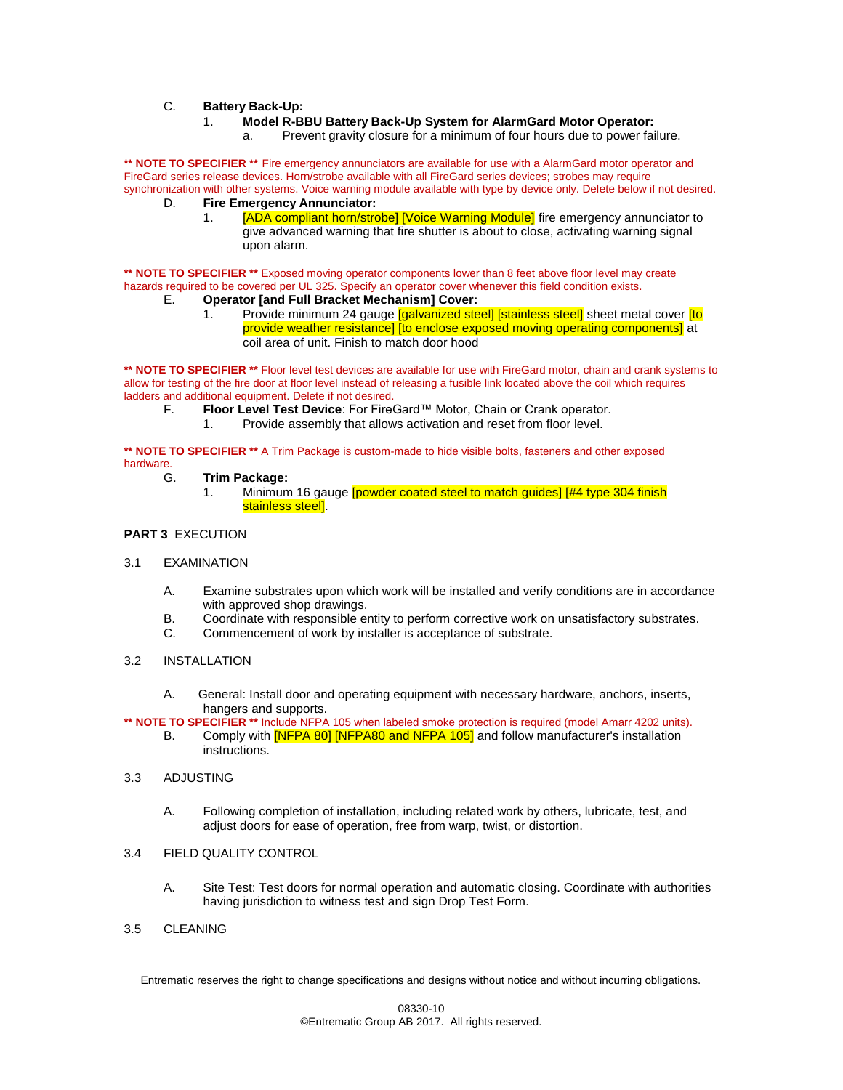## C. **Battery Back-Up:**

- 1. **Model R-BBU Battery Back-Up System for AlarmGard Motor Operator:**
	- a. Prevent gravity closure for a minimum of four hours due to power failure.

**\*\* NOTE TO SPECIFIER \*\*** Fire emergency annunciators are available for use with a AlarmGard motor operator and FireGard series release devices. Horn/strobe available with all FireGard series devices; strobes may require synchronization with other systems. Voice warning module available with type by device only. Delete below if not desired.

- D. **Fire Emergency Annunciator:**
	- [ADA compliant horn/strobe] [Voice Warning Module] fire emergency annunciator to give advanced warning that fire shutter is about to close, activating warning signal upon alarm.

**\*\* NOTE TO SPECIFIER \*\*** Exposed moving operator components lower than 8 feet above floor level may create hazards required to be covered per UL 325. Specify an operator cover whenever this field condition exists.

- E. **Operator [and Full Bracket Mechanism] Cover:**
	- 1. Provide minimum 24 gauge [galvanized steel] [stainless steel] sheet metal cover [to provide weather resistance] [to enclose exposed moving operating components] at coil area of unit. Finish to match door hood

\*\* **NOTE TO SPECIFIER** \*\* Floor level test devices are available for use with FireGard motor, chain and crank systems to allow for testing of the fire door at floor level instead of releasing a fusible link located above the coil which requires ladders and additional equipment. Delete if not desired.

- F. **Floor Level Test Device**: For FireGard™ Motor, Chain or Crank operator.
	- 1. Provide assembly that allows activation and reset from floor level.

**\*\* NOTE TO SPECIFIER \*\*** A Trim Package is custom-made to hide visible bolts, fasteners and other exposed hardware.<br>G.

- G. **Trim Package:**
	- 1. Minimum 16 gauge **[powder coated steel to match guides]** [#4 type 304 finish stainless steel].

## **PART 3** EXECUTION

- 3.1 EXAMINATION
	- A. Examine substrates upon which work will be installed and verify conditions are in accordance with approved shop drawings.
	- B. Coordinate with responsible entity to perform corrective work on unsatisfactory substrates.
	- C. Commencement of work by installer is acceptance of substrate.
- 3.2 INSTALLATION
	- A. General: Install door and operating equipment with necessary hardware, anchors, inserts, hangers and supports.
- **\*\* NOTE TO SPECIFIER \*\*** Include NFPA 105 when labeled smoke protection is required (model Amarr 4202 units).
	- B. Comply with **[NFPA 80] [NFPA80 and NFPA 105]** and follow manufacturer's installation instructions.
- 3.3 ADJUSTING
	- A. Following completion of installation, including related work by others, lubricate, test, and adjust doors for ease of operation, free from warp, twist, or distortion.
- 3.4 FIELD QUALITY CONTROL
	- A. Site Test: Test doors for normal operation and automatic closing. Coordinate with authorities having jurisdiction to witness test and sign Drop Test Form.
- 3.5 CLEANING